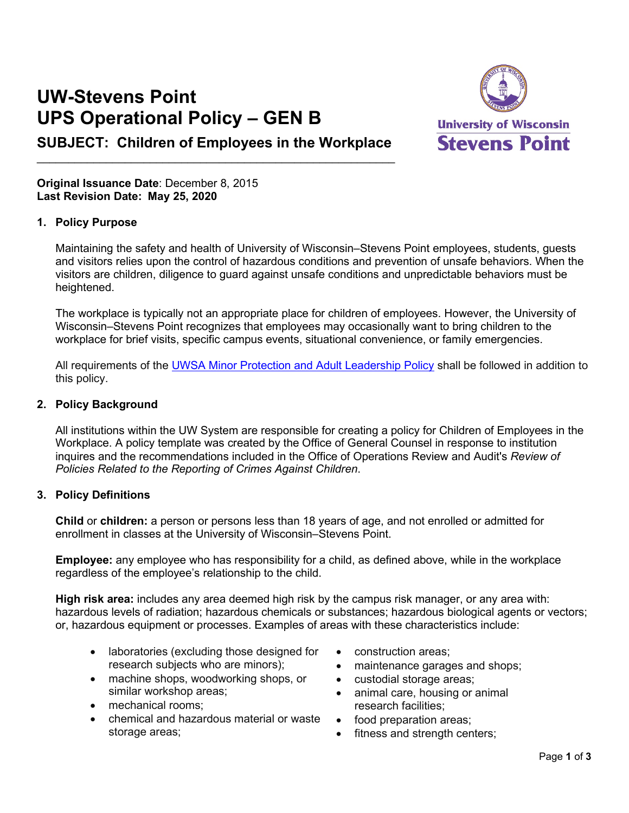# **UW-Stevens Point UPS Operational Policy – GEN B**



# **SUBJECT: Children of Employees in the Workplace**  $\mathcal{L}_\text{max}$  , and the contract of the contract of the contract of the contract of the contract of the contract of the contract of the contract of the contract of the contract of the contract of the contract of the contr

**Original Issuance Date**: December 8, 2015 **Last Revision Date: May 25, 2020**

## **1. Policy Purpose**

Maintaining the safety and health of University of Wisconsin–Stevens Point employees, students, guests and visitors relies upon the control of hazardous conditions and prevention of unsafe behaviors. When the visitors are children, diligence to guard against unsafe conditions and unpredictable behaviors must be heightened.

The workplace is typically not an appropriate place for children of employees. However, the University of Wisconsin–Stevens Point recognizes that employees may occasionally want to bring children to the workplace for brief visits, specific campus events, situational convenience, or family emergencies.

All requirements of the [UWSA Minor Protection and Adult Leadership Policy](https://www.wisconsin.edu/compliance/download/Minor-Protection-and-Adult-Leadership-Policy-ATCP_2017-06-30.pdf) shall be followed in addition to this policy.

## **2. Policy Background**

All institutions within the UW System are responsible for creating a policy for Children of Employees in the Workplace. A policy template was created by the Office of General Counsel in response to institution inquires and the recommendations included in the Office of Operations Review and Audit's *Review of Policies Related to the Reporting of Crimes Against Children*.

## **3. Policy Definitions**

**Child** or **children:** a person or persons less than 18 years of age, and not enrolled or admitted for enrollment in classes at the University of Wisconsin–Stevens Point.

**Employee:** any employee who has responsibility for a child, as defined above, while in the workplace regardless of the employee's relationship to the child.

**High risk area:** includes any area deemed high risk by the campus risk manager, or any area with: hazardous levels of radiation; hazardous chemicals or substances; hazardous biological agents or vectors; or, hazardous equipment or processes. Examples of areas with these characteristics include:

- laboratories (excluding those designed for research subjects who are minors);
- machine shops, woodworking shops, or similar workshop areas;
- mechanical rooms:
- chemical and hazardous material or waste storage areas;
- construction areas;
- maintenance garages and shops;
- custodial storage areas;
- animal care, housing or animal research facilities;
- food preparation areas;
- fitness and strength centers;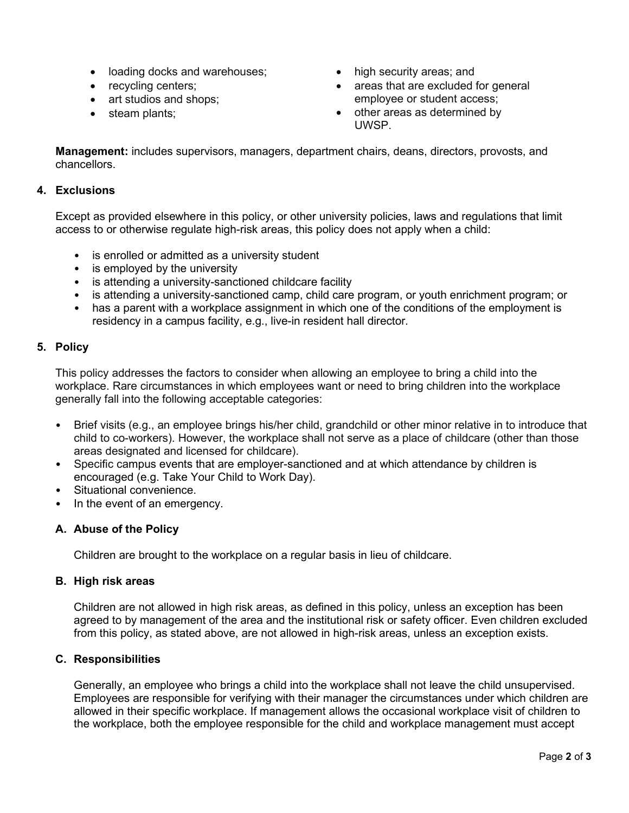- loading docks and warehouses;
- recycling centers;
- art studios and shops:
- steam plants;
- high security areas; and
- areas that are excluded for general employee or student access;
- other areas as determined by UWSP.

**Management:** includes supervisors, managers, department chairs, deans, directors, provosts, and chancellors.

## **4. Exclusions**

Except as provided elsewhere in this policy, or other university policies, laws and regulations that limit access to or otherwise regulate high-risk areas, this policy does not apply when a child:

- is enrolled or admitted as a university student
- is employed by the university
- is attending a university-sanctioned childcare facility
- is attending a university-sanctioned camp, child care program, or youth enrichment program; or
- has a parent with a workplace assignment in which one of the conditions of the employment is residency in a campus facility, e.g., live-in resident hall director.

## **5. Policy**

This policy addresses the factors to consider when allowing an employee to bring a child into the workplace. Rare circumstances in which employees want or need to bring children into the workplace generally fall into the following acceptable categories:

- Brief visits (e.g., an employee brings his/her child, grandchild or other minor relative in to introduce that child to co-workers). However, the workplace shall not serve as a place of childcare (other than those areas designated and licensed for childcare).
- Specific campus events that are employer-sanctioned and at which attendance by children is encouraged (e.g. Take Your Child to Work Day).
- Situational convenience.
- In the event of an emergency.

## **A. Abuse of the Policy**

Children are brought to the workplace on a regular basis in lieu of childcare.

## **B. High risk areas**

Children are not allowed in high risk areas, as defined in this policy, unless an exception has been agreed to by management of the area and the institutional risk or safety officer. Even children excluded from this policy, as stated above, are not allowed in high-risk areas, unless an exception exists.

## **C. Responsibilities**

Generally, an employee who brings a child into the workplace shall not leave the child unsupervised. Employees are responsible for verifying with their manager the circumstances under which children are allowed in their specific workplace. If management allows the occasional workplace visit of children to the workplace, both the employee responsible for the child and workplace management must accept